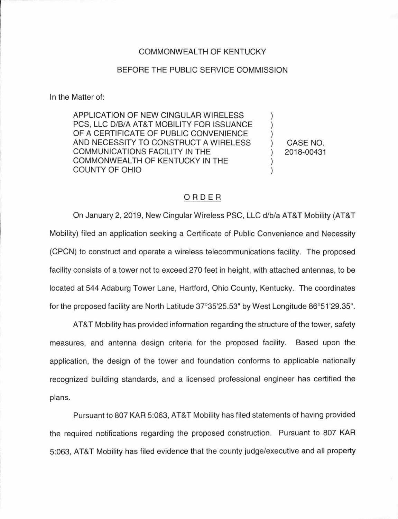## COMMONWEAL TH OF KENTUCKY

## BEFORE THE PUBLIC SERVICE COMMISSION

In the Matter of:

APPLICATION OF NEW CINGULAR WIRELESS PCS, LLC D/B/A AT&T MOBILITY FOR ISSUANCE OF A CERTIFICATE OF PUBLIC CONVENIENCE AND NECESSITY TO CONSTRUCT A WIRELESS COMMUNICATIONS FACILITY IN THE COMMONWEALTH OF KENTUCKY IN THE COUNTY OF OHIO

) CASE NO. ) 2018-00431

) ) )

) )

## ORDER

On January 2, 2019, New CingularWireless PSC, LLC d/b/a AT&T Mobility (AT&T Mobility) filed an application seeking a Certificate of Public Convenience and Necessity (CPCN) to construct and operate a wireless telecommunications facility. The proposed facility consists of a tower not to exceed 270 feet in height, with attached antennas, to be located at 544 Adaburg Tower Lane, Hartford, Ohio County, Kentucky. The coordinates for the proposed facility are North Latitude 37°35'25.53" by West Longitude 86°51 '29.35".

AT&T Mobility has provided information regarding the structure of the tower, safety measures, and antenna design criteria for the proposed facility. Based upon the application, the design of the tower and foundation conforms to applicable nationally recognized building standards, and a licensed professional engineer has certified the plans.

Pursuant to 807 KAR 5:063, AT&T Mobility has filed statements of having provided the required notifications regarding the proposed construction. Pursuant to 807 KAR 5:063, AT&T Mobility has filed evidence that the county judge/executive and all property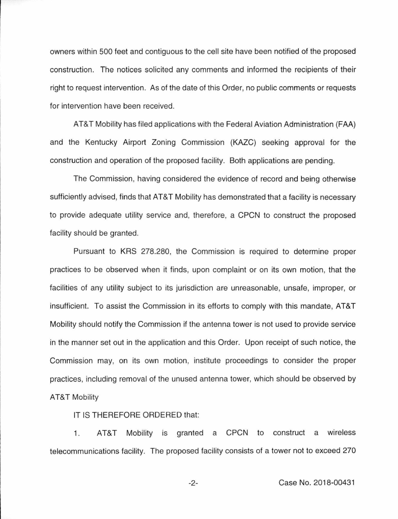owners within 500 feet and contiguous to the cell site have been notified of the proposed construction. The notices solicited any comments and informed the recipients of their right to request intervention. As of the date of this Order, no public comments or requests for intervention have been received.

AT&T Mobility has filed applications with the Federal Aviation Administration (FAA) and the Kentucky Airport Zoning Commission (KAZC) seeking approval for the construction and operation of the proposed facility. Both applications are pending.

The Commission, having considered the evidence of record and being otherwise sufficiently advised, finds that AT&T Mobility has demonstrated that a facility is necessary to provide adequate utility service and, therefore, a CPCN to construct the proposed facility should be granted.

Pursuant to KRS 278.280, the Commission is required to determine proper practices to be observed when it finds, upon complaint or on its own motion, that the facilities of any utility subject to its jurisdiction are unreasonable, unsafe, improper, or insufficient. To assist the Commission in its efforts to comply with this mandate, AT&T Mobility should notify the Commission if the antenna tower is not used to provide service in the manner set out in the application and this Order. Upon receipt of such notice, the Commission may, on its own motion, institute proceedings to consider the proper practices, including removal of the unused antenna tower, which should be observed by AT&T Mobility

IT IS THEREFORE ORDERED that:

1. AT&T Mobility is granted a CPCN to construct a wireless telecommunications facility. The proposed facility consists of a tower not to exceed 270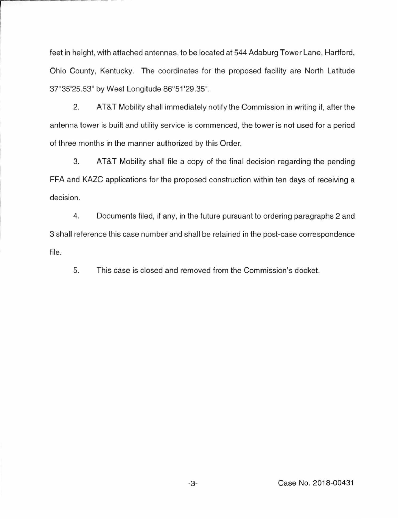feet in height, with attached antennas, to be located at 544 Adaburg Tower Lane, Hartford, Ohio County, Kentucky. The coordinates for the proposed facility are North Latitude 37°35'25.53" by West Longitude 86°51'29.35".

2. AT&T Mobility shall immediately notify the Commission in writing if, after the antenna tower is built and utility service is commenced, the tower is not used for a period of three months in the manner authorized by this Order.

3. AT&T Mobility shall file a copy of the final decision regarding the pending FFA and KAZC applications for the proposed construction within ten days of receiving a decision.

4. Documents filed, if any, in the future pursuant to ordering paragraphs 2 and 3 shall reference this case number and shall be retained in the post-case correspondence file.

5. This case is closed and removed from the Commission's docket.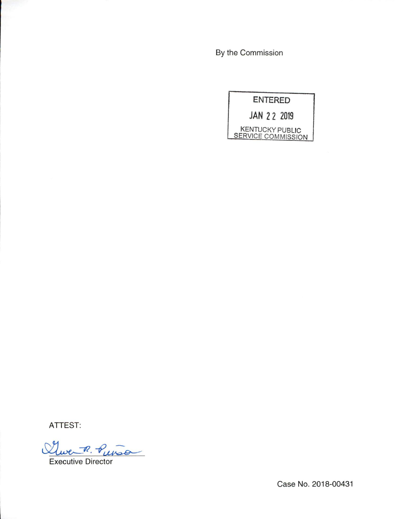By the Commission

ENTERED

JAN 2 2 2019

KENTUCKY PUBLIC KENTUCKY PUBLIC<br>SERVICE COMMISSION

ATTEST:

Clue P. Puiso

Case No. 2018-00431